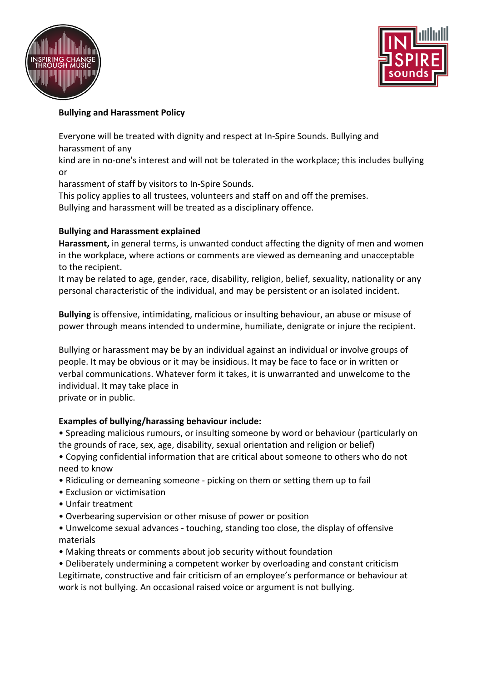



# **Bullying and Harassment Policy**

Everyone will be treated with dignity and respect at In-Spire Sounds. Bullying and harassment of any

kind are in no-one's interest and will not be tolerated in the workplace; this includes bullying or

harassment of staff by visitors to In-Spire Sounds.

This policy applies to all trustees, volunteers and staff on and off the premises.

Bullying and harassment will be treated as a disciplinary offence.

## **Bullying and Harassment explained**

**Harassment,** in general terms, is unwanted conduct affecting the dignity of men and women in the workplace, where actions or comments are viewed as demeaning and unacceptable to the recipient.

It may be related to age, gender, race, disability, religion, belief, sexuality, nationality or any personal characteristic of the individual, and may be persistent or an isolated incident.

**Bullying** is offensive, intimidating, malicious or insulting behaviour, an abuse or misuse of power through means intended to undermine, humiliate, denigrate or injure the recipient.

Bullying or harassment may be by an individual against an individual or involve groups of people. It may be obvious or it may be insidious. It may be face to face or in written or verbal communications. Whatever form it takes, it is unwarranted and unwelcome to the individual. It may take place in private or in public.

### **Examples of bullying/harassing behaviour include:**

• Spreading malicious rumours, or insulting someone by word or behaviour (particularly on the grounds of race, sex, age, disability, sexual orientation and religion or belief)

- Copying confidential information that are critical about someone to others who do not need to know
- Ridiculing or demeaning someone picking on them or setting them up to fail
- Exclusion or victimisation
- Unfair treatment
- Overbearing supervision or other misuse of power or position
- Unwelcome sexual advances touching, standing too close, the display of offensive materials
- Making threats or comments about job security without foundation
- Deliberately undermining a competent worker by overloading and constant criticism Legitimate, constructive and fair criticism of an employee's performance or behaviour at work is not bullying. An occasional raised voice or argument is not bullying.